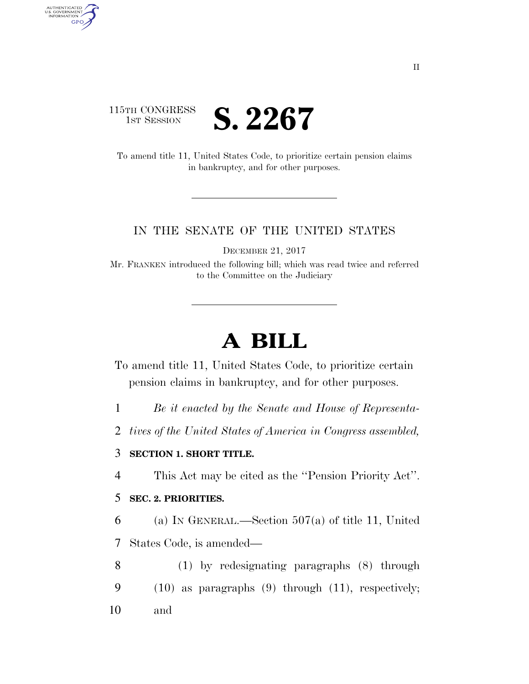

AUTHENTICATED<br>U.S. GOVERNMENT<br>INFORMATION

**GPO** 

To amend title 11, United States Code, to prioritize certain pension claims in bankruptcy, and for other purposes.

## IN THE SENATE OF THE UNITED STATES

DECEMBER 21, 2017

Mr. FRANKEN introduced the following bill; which was read twice and referred to the Committee on the Judiciary

## **A BILL**

To amend title 11, United States Code, to prioritize certain pension claims in bankruptcy, and for other purposes.

1 *Be it enacted by the Senate and House of Representa-*

2 *tives of the United States of America in Congress assembled,* 

## 3 **SECTION 1. SHORT TITLE.**

4 This Act may be cited as the ''Pension Priority Act''.

## 5 **SEC. 2. PRIORITIES.**

6 (a) IN GENERAL.—Section 507(a) of title 11, United 7 States Code, is amended—

8 (1) by redesignating paragraphs (8) through 9 (10) as paragraphs (9) through (11), respectively; 10 and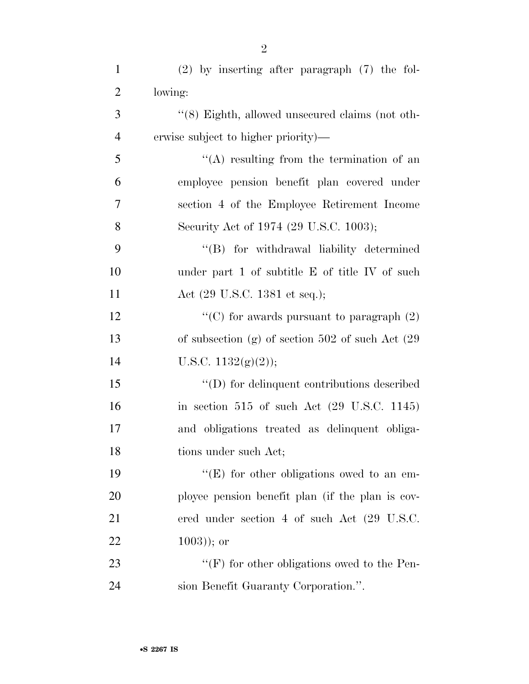| $\mathbf{1}$   | $(2)$ by inserting after paragraph $(7)$ the fol-        |
|----------------|----------------------------------------------------------|
| $\overline{2}$ | lowing:                                                  |
| 3              | "(8) Eighth, allowed unsecured claims (not oth-          |
| $\overline{4}$ | erwise subject to higher priority)—                      |
| 5              | $\lq\lq$ resulting from the termination of an            |
| 6              | employee pension benefit plan covered under              |
| $\tau$         | section 4 of the Employee Retirement Income              |
| 8              | Security Act of 1974 (29 U.S.C. 1003);                   |
| 9              | "(B) for withdrawal liability determined                 |
| 10             | under part 1 of subtitle E of title IV of such           |
| 11             | Act (29 U.S.C. 1381 et seq.);                            |
| 12             | "(C) for awards pursuant to paragraph $(2)$              |
| 13             | of subsection (g) of section 502 of such Act $(29)$      |
| 14             | U.S.C. $1132(g)(2)$ ;                                    |
| 15             | $\lq\lq$ for delinquent contributions described          |
| 16             | in section $515$ of such Act $(29 \text{ U.S.C. } 1145)$ |
| 17             | and obligations treated as delinquent obliga-            |
| 18             | tions under such Act;                                    |
| 19             | "(E) for other obligations owed to an em-                |
| 20             | ployee pension benefit plan (if the plan is cov-         |
| 21             | ered under section 4 of such Act (29 U.S.C.              |
| 22             | $(1003)$ ; or                                            |
| 23             | "(F) for other obligations owed to the Pen-              |
| 24             | sion Benefit Guaranty Corporation.".                     |